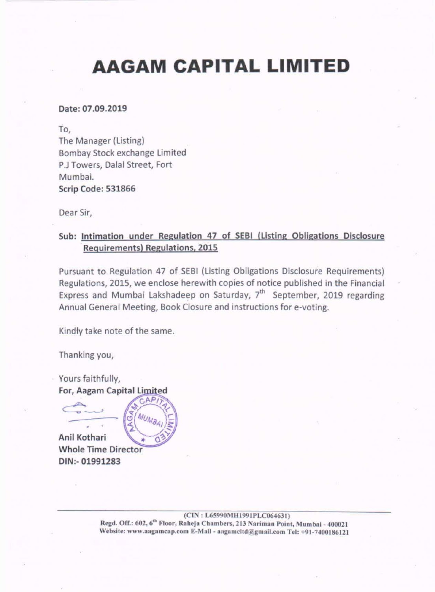# AAGAM CAPITAL LIMITED

### Date: 07.09.2019

## Sub: lntimation under Regulation 47 of SEBI (Listing Obligations Disclosure Requirements) Regulations, 2015

To, The Manager (Listing) Bombay Stock exchange Limited P.J Towers, Dalal Street, Fort Mumbai. Scrip Code: 531866

Dear Sir,

Yours faithfully, For, Aagam Capital Limite

Pursuant to Regulation 47 of SEBI (Listing Obligations Disclosure Requirements) Regulations, 2015, we enclose herewith copies of notice published in the Financial Express and Mumbai Lakshadeep on Saturday,  $7<sup>th</sup>$  September, 2019 regarding Annual General Meeting, Book Closure and instructions for e-voting.

Kindly take note of the same.

Thanking you,

 $\triangle$ 

,

Anil Kothari **. \* 1 Whole Time Director** DIN:- 01991283

> (CIN: L65990MH1991PLC064631) Regd. Off.: 602, 6<sup>th</sup> Floor, Raheja Chambers, 213 Nariman Point, Mumbai - 400021 Website: www.aagamcap.com E-Mail - aagamcltd@gmail.com Tel: +91-7400186121

/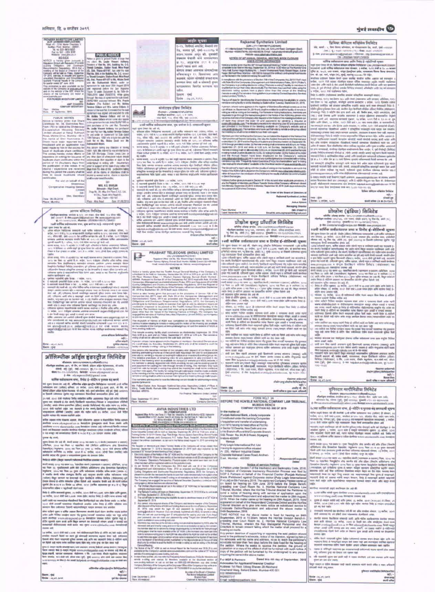#### शनिवार, दि. ७ सप्टेंबर २०१९

### **मुंबई लक्षादीय**

| PKMÆRM INVESTODIRE LIMITAD<br>GCIN LAUWOWMIGRAPLC231826                                                             |                                                                                                                                                                       | जाहीर मुखना                                                                                                                                                                              | Rajkamal Synthetics Limited                                                                                                                                                                                                                               | प्रिथिया केपिटल मधिरंमेच लिमिटेड                                                                                                                                             |
|---------------------------------------------------------------------------------------------------------------------|-----------------------------------------------------------------------------------------------------------------------------------------------------------------------|------------------------------------------------------------------------------------------------------------------------------------------------------------------------------------------|-----------------------------------------------------------------------------------------------------------------------------------------------------------------------------------------------------------------------------------------------------------|------------------------------------------------------------------------------------------------------------------------------------------------------------------------------|
| <b>Rivad, Jrft. - 1214 Mainer Charolinn V</b>                                                                       |                                                                                                                                                                       | t- is, fished anche, insed an                                                                                                                                                            | <b>JOIN: LYPET VANYING PLOIDAGAAL</b>                                                                                                                                                                                                                     |                                                                                                                                                                              |
| Names Tord, Murdal - 42007<br>746, No. 5220- 9878-9837                                                              |                                                                                                                                                                       | its, sons yd, and-vestyre is                                                                                                                                                             | 411 Allerta Eutam Fremens Oc. Oc. Soc. Ltd. G.M.Link Realt. Goregann (East)                                                                                                                                                                               | ity, and. v. fee free absies, or degrees ity, std. 9d-citys                                                                                                                  |
| Far to, 522 - 1004 8195.                                                                                            |                                                                                                                                                                       | sense seem and all sworth                                                                                                                                                                | Munical-400007MHs.022-00200236.Englt -salvanatismhetsy@gnad.com                                                                                                                                                                                           | (AML), C = FAST-EVANTY/FE : WHE PAST-CFETTER<br>\$19H; protraccussive radiomation i Hiltmes ; trip dynamicsapperices                                                         |
| <b>RADIOS: 1064-2010-03-P</b><br><b>NOTICE</b>                                                                      | <b>PUBLIC NOTICE</b>                                                                                                                                                  | जेकस्थल मेमाजी जाने भागप्रधानस्त                                                                                                                                                         | ANDUR WAS LINGUAR (FRICURA                                                                                                                                                                                                                                | CBI: LATINISM (THUP), CU10030                                                                                                                                                |
| ROTICE In Strate great pursuant                                                                                     | Hotting is gloots to goodsall Plutter at large that I<br>ry clari Mt. Leale Viscott Authors.                                                                          |                                                                                                                                                                                          | NOTICE OF JET ANNUAL GENERAL MEXTING, BOOK CLOBURE<br>AND 5-YOTIHG INFORMATION                                                                                                                                                                            | सांचिक स्वीकाधारण कथा अर्थम रिमोट हे-अंडोटिंगजी मुख्यत                                                                                                                       |
| <b>Regulation 29 Hot with Regulation IT IN SEED</b>                                                                 | humators: of Flast No., 2014, Stallatting No., C-2.                                                                                                                   | M.Y., MANUEL 243 4 255                                                                                                                                                                   | Hallica-Ja, frentitics grown than the 1997 Annual Questing Diseasing ("AQMI") of the Company to                                                                                                                                                           | topit space issues list wir. Saffinne attitizem whighive Bellister and cone Leconometries (ALCO)                                                                             |
| Larmy Criterian, and Datitiours<br><b>Pate-orientation Pergabations</b> , 281A Thet at                              | Trimit Complex, Station Road, Mics Road                                                                                                                               | goal / one mil act.                                                                                                                                                                      | alfredsded to be held on Monday, September 30, 2019 at 12:00 Nieur at The Number Cire-                                                                                                                                                                    | encount cash softe relayance was shown, a more, tutt the in terms in                                                                                                         |
| needing of the Based of Thectors of Tre-                                                                            | (E), DM, These-431167, Not UAH fro lost                                                                                                                               | WORKER WORLD GOSPICSH REVOLUTION                                                                                                                                                         | Forty Holl, Guiner Hasper Building film, 1, Gwanni Vivemarvand Road, Khower/Nagar, Guiner                                                                                                                                                                 | office at., sourc, with tensor, stript gangless girls, wommon flows flore also                                                                                               |
| Company will be held on Finans September<br>(P-301), askinala, in consider and agreval                              | Flat No. 354, in the Sulphits No. C-2, Interior                                                                                                                       | efectors. It results are                                                                                                                                                                 | Flager, Storhnall Week, Mulmber - 800 000; fo Ingmpact the circlescy and special businessess<br>As the residents in the locket too renaing the said AGAR.                                                                                                 | reve, all, yea, wed, winty (in), spell, staring sussues; lik stiller,                                                                                                        |
| staatled Standaliste will Constituted                                                                               | as Triendi Complex, Dialion Road, Mira Noad<br>18), Del. Thans-401127 to Nic. Miche Zerdi                                                                             | signatic, recurs scientist system wire                                                                                                                                                   | 31 Il compiliare et with the provisions of Decitor, 198 of the Companies Aut. 2013 ("Aut") result                                                                                                                                                         | weden extrest follow boot man under station with appear of mining                                                                                                            |
| suitaly financial liauda at he Company.<br>To qualify stated 30° June, 2018.                                        | and Mr. Subbashes West, under an                                                                                                                                      | armer ann asl a simul year                                                                                                                                                               | <td>select auto the rates shower were offer exercise argin weekli real</td>                                                                                                                                                                               | select auto the rates shower were offer exercise argin weekli real                                                                                                           |
| This intrinsitent is whit previously on                                                                             | sprement by star tend 2031 Anguli 2079.                                                                                                                               | мотрилось Гентру могланы что                                                                                                                                                             | (Hal Constrainty is growiding electronic volding ("Plenume everaling") facility to members its                                                                                                                                                            | ware aim arthroral (- let and disturbed validation/web living self- are pr                                                                                                   |
| watched of the Company of Atendated at                                                                              | and reputant before the Sun Rogerta                                                                                                                                   | <b>100Hz</b>                                                                                                                                                                             | enable them to car! they votes allotto study. The Vernbers may card but votes using the<br>electronic vating system from a place other than the yeoux at the Meeting                                                                                      | It are, st, yet if hinds (should see the fielding showed), affected to solve top and see                                                                                     |
| and in the website of the BDE where the I<br>shaces at the Company ory instal at                                    | Thore 10 years Toppeard Et No TW-10-<br>7005-2019 cuser 2V&7771E, White ignive                                                                                        | Searre yet                                                                                                                                                                               | remote a weight). The remote a Untropolation is privided by Carera Depository Services                                                                                                                                                                    | a retire, says the tealment fallor.                                                                                                                                          |
| srenk 3 patriotik, coon-                                                                                            | Turnugh Bie copy of agents ment for suite dated.                                                                                                                      |                                                                                                                                                                                          | United Centres ("COTA,").                                                                                                                                                                                                                                 | Print is relative (realtermosk severitor armatic schapillite meaning) images.                                                                                                |
| FOR PICHEZA INVESTIGARE LIMITED<br>S61                                                                              | JUNE1881 assisted between Nrs. Fravin                                                                                                                                 | State: 06.05.9335                                                                                                                                                                        | The out-lift date for 2001/8/weg the Shandholders for researching the adjusting to vera-by                                                                                                                                                                | drob, every, 414 s we done key, with liver journeers with promis whileen. I                                                                                                  |
| AMP. CHANDRA 1                                                                                                      | Balders (Tre Suitbr), and Mr. Achiev                                                                                                                                  |                                                                                                                                                                                          | vention-vising hardly ut at the blooding by Balkit will be Tuessian. Begramper 24, 2019.                                                                                                                                                                  | with firms for war Aupfredt, wondight assume awaredies is nelipse, furnity flexades in                                                                                       |
| COMPANY SECRETARY                                                                                                   | Terretor Didaca and Mrs. Leave Callery, 1                                                                                                                             | मांसोटाइच इंडिया लिमिटेड                                                                                                                                                                 | A presun, whood turns appears in the register of MechenicBenefallal competition and                                                                                                                                                                       | quired wellin wi more seedle vight was well me reund fid                                                                                                                     |
| <b><i><u>Malifornia</u></i></b><br>0-Service, 2011.<br><b>Bars</b>                                                  | responsible sout that, it revealed that the sold                                                                                                                      | IDuonese : LESNAMMASKTARLCOSTRUL                                                                                                                                                         | (ub-off visite i.e. Tisconotene (b), 20 th only studi be entitled to avail the leading of nervous e-                                                                                                                                                      | relativ i plana sylvania kine web . Neuthri Alon textilizett reliables (aftere) thebits (attates<br>ethnings this 5-midt like are soft usb. all fields post, valid unsiders. |
|                                                                                                                     | agreement was signed and executed by only                                                                                                                             | Wheelback scrations : LL11. L OF GRIS,                                                                                                                                                   | vising as well as voting at the needing. For flexture a Violing instructions, members are<br>interested to go through the instructions globs in the Notice of the AGM Any person who                                                                      | (1951) sint from soft craria summer 2-ansa shekar describle 1                                                                                                                |
| FUELIC NOTICE                                                                                                       | Mr. Arlay Tayour Colors and Int by<br>Wes, Leesa Dalace whose rums vital tools-                                                                                       | <b>Brown and A</b><br>the ded, You shouldly, believing                                                                                                                                   | incontras membre citire Company aller diapatok all be Hobine of the meeting bus betwee talk                                                                                                                                                               | service sont and reservic serviced spacer, ha selbe, were that in those at                                                                                                   |
| Previous or hereby given that Share!                                                                                | in the agreement for sulk skills 75/79/1983 or                                                                                                                        | LETT- 213 F.M.T.N.E.-Reforeed has endicated concelled stars. Write: window in professor (dis. )                                                                                          | off date may pittein the User ID and paisword by sending a request at                                                                                                                                                                                     | when with them, as order, north thit will as too most were with. In summed                                                                                                   |
| Constitute Nt. 54, Districtive Ned.<br>From 1701 W 1800 of the Shreamway!                                           | joint auxilingues of the said Flat, Thermathet                                                                                                                        | vant mitte inhusance ave, we enture in j-westerd greet                                                                                                                                   | a visible of collection costs. The detailed a moneture for visitativing User (D and participate is<br>also provided in the finding of the Meeting available not Company's website and at                                                                  | two ownside any well-after times and we ensure, it's order, builty duty analysis of                                                                                          |
| Co-systemics Heuring Society                                                                                        | Mr. Lexie Vincent Avelany NJs (of ITunof)                                                                                                                             | want want brart als call all.                                                                                                                                                            | consumption and the construction of the control with the methods and the real advert-                                                                                                                                                                     | (trend appoints student water 1 playties sounds rold kept out on                                                                                                             |
| Analysis almost to transmits itself-at.                                                                             | the said Fightner Mig AuMay Tennies College                                                                                                                           | systems after Delignme assumed, and solds seement and primary return, a                                                                                                                  | the ministro but shall mix be a raised to qualified visite again.                                                                                                                                                                                         | lessongs press (sig vegs seven pensile, pusees it were less toll, net                                                                                                        |
| Pored, Marine Dirve, Multipal / 422 W                                                                               | by any unity or Appenhent for Sale dated<br>TEN THOMAS Y TEEN WILL IN SUN FUE WAT THE                                                                                 | ANDRE, NA'S L. FORD M. F. J. L. SECOND MONTH, MONTHLY MINITION A LA L. L. M. VIDEO, ORIE MANIE<br>112, that till, and initial and are are to all. Liv mak, 1111                          | Marriosh are informed Fastal the Conglery feat conglessofthe disputply if the heads of the                                                                                                                                                                | diffuserous hits invitin cost unprofit filles amon tips who age                                                                                                              |
| the room of Shirt Rommerers R.                                                                                      | paid for my bits. Minday David and Min.                                                                                                                               | indiger intention seniores secondar available forms and type and affected terms                                                                                                          | AGM and Annual Reports mintured, interalis, the Audited Accounts for the Brentisal year.                                                                                                                                                                  | largit reaffereder (reset fatester sizestet heger there) value tipsel                                                                                                        |
| Dhooi have been reported ital.<br>Headlated and an application has                                                  | <b>TARNAHIST MITHS</b>                                                                                                                                                | apointments speed report 31, a seday, susts inde an anyone of their arts.                                                                                                                | in vehicle/auto 31.2019 written Reports of Auditors and Christma themes as Supervision 06.<br>2015 Ferrugh permitted modes. (b) Permites a vedang shull conversions at 8.00 turn, on Filtitia.                                                            | az- als sistem tringius throbad reveal termine sharped net us                                                                                                                |
|                                                                                                                     | been made by him to the acciuty bx   Are door long are thatten at limits                                                                                              | skene suran, 4xxx 9 weekly to schill card wheele x fittive statement futures                                                                                                             | September 27, 2019 and ends at 5.00 p.m. on Sunday, September 26, 2018;(c)                                                                                                                                                                                | ade it sweet. You aladerity wine pellos to play selv you a tribe are                                                                                                         |
| locuse of ductions share continuous.                                                                                | vidues. Hype, table indeveloping way of tributtherity.                                                                                                                | terts of fifthing you contained by the cost depiction control, training influent manuals                                                                                                 | Flattiote in-Volking shall Hot (allowed what S.OD p.m., on Deptember 20, 2013) and the Flemions                                                                                                                                                           | on one someonity, systems starting washesmals flow update, it, and strated client                                                                                            |
|                                                                                                                     | The sceney kenety myles chance on 13m, Sit Mongage, Slarge, Least Liter, at                                                                                           | Planet & Mark streets Pt. 11 and/on, 14111 9-14 include, 14111 10:00 Stern view(b) terroris                                                                                              | in college to dute unable) disable (by CDS), he setting increases (c) the house of the ASM                                                                                                                                                                | prode felicly streets with at a right-and work and vig wer first re-                                                                                                         |
|                                                                                                                     | Association of which is a security of a state of a state of the state of the                                                                                          | et; reals<br>www.wweb. 1245 R Schiller, LLC and study experiences (investment painting Plass,                                                                                            | and the Annual Report hove been displayed by the Crescovy's website<br>2008, OBS/2010/12 PRO 2205 FR PLANE OF A 19 SURFACE/STRUCK COVERNMENT WITH A VIOLENCE                                                                                              | www.chitting.com was any autor after the party and a child the set<br>let at a ft is after the at its red follows graph indigeneral field service for an                     |
|                                                                                                                     | (subcalls share certificates within the) commoncate for question in claim to be                                                                                       | Late his This his siets to reduct have different children while infest continu                                                                                                           | Hereberg may note: "Presumity Asses Coustoma (FAQu) for shareholders" and "e-treang                                                                                                                                                                       |                                                                                                                                                                              |
|                                                                                                                     | period of 14 Ununaers stays from [ adaraged in willing with : Gaulieritys<br>We publication of this initial, if no longer is separt if the claim Fair will in fill    | Test finity numers streams washing service memory dign lindfiest station ratios:                                                                                                         | har supposition shareholders' available at the Download exciter of assistanting place and                                                                                                                                                                 | ne words started win the star in good will higher ter-                                                                                                                       |
|                                                                                                                     | idasma / valentines are revelved base for by die of the substitut MBrd                                                                                                | helder på framen gir ynferes univer it alsen intres snæger ciliceradin fintele                                                                                                           | The SkissbrickYs report allong with the results of vising on the resolutions vectors in the                                                                                                                                                               | weight water feel were std. need, usuand silved in anongit were har.<br>with it wire reduct to roof. whose you native states senior t                                        |
|                                                                                                                     | (thereon this period free ancienty wheel fee ( amon, all the claims or interfered that be)                                                                            | pliagitha so a significant than the dimension of the state of the state of the state of the state of                                                                                     | Hoppe of the ACAR shall be planet on the Company's website recordationalize affairs, and                                                                                                                                                                  | promocoparvivas A/ affit inha shiptominist interactional textile and                                                                                                         |
|                                                                                                                     | free to loved must cote where pure a some rol is then irokeder.                                                                                                       | wagrawdlook Felix Tollet ucho, wraig is see Venimist sergiuinfor midse sectionnel                                                                                                        | Hill of the Africa trunch and the Africa Africa Africa and the Content of Lands Africa<br>in Steck Everywinger.                                                                                                                                           | 4-expiredly with fearm with annoy, measurings to see at 2019 at                                                                                                              |
| constitute survey.<br>For wird un behalf of the                                                                     | studing with famed the matter.                                                                                                                                        | a. Andere marchet und Bare ; co stibe, conti,                                                                                                                                            | 14th a la Euffrer-given pottssart in Dectron 91 of the Api and other application provisions, if                                                                                                                                                           | wore Sretme del ser (trend) will 5-iddy digan up fice it, inter                                                                                                              |
| <b>IDomstriango</b>                                                                                                 |                                                                                                                                                                       | in  "Line-wid sending them a not : is without that it finds that they                                                                                                                    | any the Region of Menoms and Share Transfer Blocks of the Company off renain closed                                                                                                                                                                       | strat), statement memorante and anyone happens assumptionly and a                                                                                                            |
| Co-remristive Hissalng Sectors                                                                                      | MILL N.S. EMICJAR                                                                                                                                                     | [w] 'B-language stands besite a line in law sedan, An of the test is any sub-                                                                                                            | HancANovdos; Sagrendaw 23.2013 to Monday Sagrendaw 30, 2011 (both days include to far                                                                                                                                                                     | ancing out for between the end turn-heavily (4).                                                                                                                             |
| <b>Limited</b>                                                                                                      | Advector - High Dout,<br>Drew No. 34, Mkg Divi Roya C (US, Ltd.)                                                                                                      | sumple also used all. Jet who follow when a kinemax shahooyal who (Loopers                                                                                                               | tre puspose st.AGAn er the Crangranu                                                                                                                                                                                                                      | follow: different selfability Seella                                                                                                                                         |
| Sig-                                                                                                                | TA TILL, Road, Milk Road (E).                                                                                                                                         | izator which school list a millional arrane trans its Spicitor, have a site resea                                                                                                        | By Criter of the Board of Directors of                                                                                                                                                                                                                    |                                                                                                                                                                              |
| the, Secretary<br>Date: 06.08.2019                                                                                  | Skt. 71pm - 191501.                                                                                                                                                   | lies set, all control form contact agent you seen wer free the<br>(d) reference and why \$-weeren's aren't to folish minter effectively reflues ray                                      | Rejkarreal Xiyrriberizat Limited                                                                                                                                                                                                                          | <b>ytwit</b>                                                                                                                                                                 |
| Place Munby                                                                                                         | AW STARZES<br>Piate : Mira Road                                                                                                                                       | stadior, tely ratio date an itre draft and, w (all) Thallity which entities whereon states                                                                                               | 54<br><b>Ankur Ajmons</b>                                                                                                                                                                                                                                 | <b>RECORD 4 &amp; WINDERS, Buy-Fri</b><br>9000 MWE (3.96.95.73)                                                                                                              |
|                                                                                                                     |                                                                                                                                                                       | line forfaytingt was wount solving stood scramest stantast six six untill                                                                                                                |                                                                                                                                                                                                                                                           |                                                                                                                                                                              |
|                                                                                                                     |                                                                                                                                                                       | soul wiss I-same who rebouve found analyzed us have by what                                                                                                                              | <b>Managerg Stresto</b>                                                                                                                                                                                                                                   |                                                                                                                                                                              |
| आलाम कॉवेजन निर्वितेष                                                                                               |                                                                                                                                                                       | referres quinet reprintent inchicates with a field's also arts and fi-                                                                                                                   | <b>Flaue Munitial</b><br>DIRK: G/WWD715<br>Dalertz Siegnersther DE, 2018<br>Email III, www.yamerabitrikgvesi.com                                                                                                                                          | प्रोव्होण (इंडिया) लिमिटेड                                                                                                                                                   |
|                                                                                                                     | three worker, stides a r.c. on our, do sed, yes that you                                                                                                              | y tribe, satt fråger innam amfrat terrevalt nuntasendalliganalsen.<br>THE S - THAT THEME YEAR WANTED IN THE CORP.                                                                        |                                                                                                                                                                                                                                                           | ability when anthe description countered contact                                                                                                                             |
|                                                                                                                     | INE-211517, E-Resistance Manufacture Persons associates<br>W.H. Harrelskar, Marcen Littmobild (Literal)                                                               | affe agrees on aske came are onte twee assistants and a                                                                                                                                  |                                                                                                                                                                                                                                                           | Herber welve voy/voy, vie vans, drak gars, ig the ex, and (it).                                                                                                              |
|                                                                                                                     | न्छली शर्मिक अवेद्याधारण गया, कुछ जनांशर के है-अलाहराजी शुध्यत                                                                                                        | (the shallowered denne) purpose accompanies can with another service activity and it E-                                                                                                  | प्रोश्नोन इन्ट्र पॉपर्टीज लिमिटेड                                                                                                                                                                                                                         | 型纸-k000VL 型频带数 VV-241-6x397020/560VL                                                                                                                                         |
| mar que front les sali el.                                                                                          |                                                                                                                                                                       | anged with any series development about him adult site of the                                                                                                                            | white along press, previousnesscooledning covers                                                                                                                                                                                                          | 1-8% eventures of all provides more forestly away provides com-                                                                                                              |
|                                                                                                                     | large after fields a season right wife warrow and reduct store, its                                                                                                   | halpstack availing@ediabilia.com his met namm; move expositationisabil@pradicers                                                                                                         | stellant serious -cry/vax, numero, giv ritrar, cline produer proc.                                                                                                                                                                                        | २४वी शक्तिक सर्वधाधारण अभा व रिमोर्ट इं-वॉर्टिनची शुभ                                                                                                                        |
|                                                                                                                     | WORL Exhibition and and it computes that you are the total and it                                                                                                     | high line dealer vanns travbics auctionness neurod for tracker.<br>slivinger after Selley partner                                                                                        | 12 For 10, 198 (V), 90-10001 guardine-se-trategor/then.                                                                                                                                                                                                   | be gave tiven 3h srd 4h, sledy (4thr) britches variouslet upth after with                                                                                                    |
|                                                                                                                     | ets), VERK VIRE, SINS-2212111; DAY ANDERS NATION: NY AIR, ID, A VIDAP, 32 (1) STRAPHS                                                                                 | matty-                                                                                                                                                                                   | E-BRAIL arterior look presuments can develop on a grossmatic can                                                                                                                                                                                          | and stress, yo reduc, 2414 did net x cost versus als, ancites one, pyly                                                                                                      |
| gared month ft. F solver, Forts this relate vertex of last self.                                                    | unsers useful sender with field all control affreed tollo comments.                                                                                                   | <b>HOLD HOLD</b><br><b>RIVE LIX AS SAFE</b>                                                                                                                                              | +4सी वार्षिक सर्वसाधारण सभा व रिमोट ई-वोटिंगची सूचना                                                                                                                                                                                                      | efferent left, rig (fine the, aRPR (vi), spell-appoints as Based midwrings upper                                                                                             |
|                                                                                                                     | stered lemos, such it weight to a left circl subsider a finitest amounted fathers                                                                                     | work siles<br>them i cut                                                                                                                                                                 | In open doors on said off, study and study's folkfames innocented wast action                                                                                                                                                                             | resumest fired evenpating green and<br>sung inform ayes, wife open one sted wer a sylker awd ou wood                                                                         |
|                                                                                                                     | cars in fallmen as with man at spee from in with all, tratement fallends statepli-                                                                                    |                                                                                                                                                                                          | referent our renail, as indet, says little e cont, made else, or another wow.                                                                                                                                                                             | for more/feeling successive the area now they require unflows and                                                                                                            |
|                                                                                                                     | afsice without content in cardish, inning it as series, have just from available promoting.                                                                           | PRABHAT TELECOMS (INDIA) LIMITED                                                                                                                                                         | plittleft stone ed, ng Mor do, skid: (4.), god-accory) at front sitteme spelo!                                                                                                                                                                            | Whe sillered renk cold 2-for early fireflace neveloped vice rate rates are                                                                                                   |
| tradice.                                                                                                            |                                                                                                                                                                       | ÷<br><b>CRC LTC100MIDIE/PECINVES</b>                                                                                                                                                     | 102 Harnstead Graf stemparline about Mill                                                                                                                                                                                                                 | eenox to hot that the bar as the same evidence and the hotel and the second                                                                                                  |
|                                                                                                                     | ( winni song, 1914 it strate to c we word move www.custometer warms) Nest,                                                                                            | Regularre Office: Ltd Tel: 422 Wildem Ettp: L Romini Specie.                                                                                                                             | said offered april, with again rebs sized row a secret and our month (-                                                                                                                                                                                   | a goe fathe again open favored plays a reduc, so in this of but will not                                                                                                     |
|                                                                                                                     | Let's the lines as word in et wake, such copper (Padro alles tolles stres)<br>permits few mathematic entroler crosse unlike union semple throu-                       | Hamer Egymes Highway Boboak Want Munica Kiddak, Coman: \$20-400/1008                                                                                                                     | The WAR/TENTRICH Hereinforced with acids right Fingly insurance restingues last set                                                                                                                                                                       | your vict rand all. Unloved very coffee letter, solved repose and head door                                                                                                  |
|                                                                                                                     | Registra fevillagit fedelis Josendono del ollancia unione si coso è denna annunza                                                                                     | final interior entity or proportional con-                                                                                                                                               | 166 HOHR YW WIES-In DIFficial revolution the rate rainflat<br>Hanna suchass and ask your meday on sit ask with links sould, alrest play                                                                                                                   | www.provipus.com w even feetbare where Delige (statement)                                                                                                                    |
|                                                                                                                     | nelskede fanske stagfila: strewer si ist inswifts (- aset slike to ariz uni                                                                                           | <b>NICITIICIE</b>                                                                                                                                                                        | I get fifth uppfri spint finnessi albur L mcho, novy, thit get left aut. sociali                                                                                                                                                                          | avenue and additional control for the first of the basic control of the<br>and assist in to the new car reading and currence a paper; allows: a                              |
|                                                                                                                     | compare spate 2-expressions fishs dates was remed a net financial origination                                                                                         | tions a transity given metric Twelfth Annual Denoral Moding of the Company, is<br>erfreitfuleti is be held en Saturday Stetranden SX 3018 at 2.00 p.m. pr Unit No. 400.                  | pair vir suit di, colonit nois, solla agent, their not a refinet were seeinge-                                                                                                                                                                            | HIS TRAN 10 DER HRT. (GEWIRDEN) BIGRAPH, 2014 WE TRAN VV III WORDS Z.                                                                                                        |
| and population refers                                                                                               |                                                                                                                                                                       | Ally Flasc, Westland Edge: - 1. Westlam Elginson Highway, Barnudy (East), Municial                                                                                                       | a was possessions com 4 30 pm Buffacts sellers. Nelse (statement) was (1) suit after porn a ver free a 2 y your offer means an act at the top set                                                                                                         |                                                                                                                                                                              |
| a. writes wonded alls from  I stow, serv.<br>1 Interest qualified frank is lot 1 in 1924), 1411 one-technical room. |                                                                                                                                                                       | AIROSE, Plansuard to San Itan 91 of the Chrispanian Fed. 2013 Hood with Huak 10 or the                                                                                                   | www.addada.aus #000000 20000 EG                                                                                                                                                                                                                           | andly fivice 4-402-VX poperti net determines and of syllon fields was                                                                                                        |
| 4 5-80090 HOLD STAKE & SQ 15 ROM, 1411 918 MK 1, 44 KBI                                                             |                                                                                                                                                                       | Crompachines (Markagaements) anut/Addition/settlements) 70, Jimm, 1974 (and Hanguillacem 47 of 10038<br>S.tumg COSponers and Disciplinite Requestments Hagubaltons, 3715 the Response of | such some anys on new your meeting dust convince a series) adulters, areal 3 and opportunity for seeing are and all                                                                                                                                       |                                                                                                                                                                              |
| a counsel dictate at (c) whe father sense a surconventional who is entered                                          |                                                                                                                                                                       | http://paris.jp.artifilibusay Traciated Discological Pres Counquary, will remain collisied with Dischmisson                                                                              | For New car with net (techtbank) traders, Lave say then us in police (s) of I is . They ill effect wants, by metal, as or most, as on this mass to make with the<br>Process right. He joys at reason radial rest a La ware at range and all, and the U.S. | after year, 14 archit; in it like and your tree and and types tids                                                                                                           |
|                                                                                                                     | simply unable) sumere aglio u atterment umuna trace no doverato conce è uni scienzo                                                                                   | 22. 37-9 h Sephetber 27, 2019 both days inclusion                                                                                                                                        | and the public states and anywhere with 1991-2 state and                                                                                                                                                                                                  | <b>IRSN: anno latence tode</b>                                                                                                                                               |
|                                                                                                                     | Birt and (40) yellowers fromt electrony assessed other pares need been birth                                                                                          | Hence is also haveny governing punculary to the procession of German ADE of the<br>Companies Act, 2013 read with Rule 20 at the Companies (Management and)                               | of seazer office senge its art 4h.                                                                                                                                                                                                                        | 1) when 1) tribe, 10 yr ft pittend tille has app five five 4-at                                                                                                              |
|                                                                                                                     | (if) yrthoric and who is missingly send on State service (disposed and/one top<br>payfits, was rare was an fur then not, a right litation who continue moves a charge | Attrovertishers Pullet, 2014 as amended and Pagulation 44 of SEEI (Using)                                                                                                                | felic 6-star gams, as ment, your did it success tolk and the 6                                                                                                                                                                                            | more unite form why ad                                                                                                                                                       |
|                                                                                                                     | Her beliefed an except area to a compared to the control of the stand                                                                                                 | Obligations and Continuus Responsesse Regulations, 1875. Its Certain's la                                                                                                                | with other, in within, you did not come more able sells never fiver d  ( ) ) when substitutions model require most sette a symmetry dood units.                                                                                                           |                                                                                                                                                                              |

place other than the Venue of the Meeting Chairma antiting's. The Company has respect the servicies of fratranal files, dies Dispository Limited (NSDL) as the Agotes to provine evening lanks.

NAME ALONG PERSON AND ADDRESS AND the sells had searce a risk lick pound admit refer rate www.edvletdu.com to differential template asset offers asset a used. an week out sens is fate y-eithealist statewing angle shy arts ou sort her a-street or meanter new Moret ope and a weed never subseque family think many subject spling floor and a significant support on on fight mill note who went komm trend your year, even able to the first

m

m кf, 医鼻骨 dri, rei ńþ. й¥ má inh,

tigs

| $\sim$ | fiver differe sthinks Syllabs |
|--------|-------------------------------|
|        | ■読してー∶                        |
|        | Alcoholy field.               |
|        | <b>EARLY NEW CONSUMERS</b>    |

微微树 44 in.

most final al-attivition documentes suited depoint apply asset in smood sensual () sillivest literat able but weaved yine het age, vant bite 4-kichet nut on hind will now yees enjoy seemed doors excel, empired by your and **RHI DEA** 

| ٠                                                                                                                                                                                                                                                                                                                                                                                                                                                                          |               |
|----------------------------------------------------------------------------------------------------------------------------------------------------------------------------------------------------------------------------------------------------------------------------------------------------------------------------------------------------------------------------------------------------------------------------------------------------------------------------|---------------|
|                                                                                                                                                                                                                                                                                                                                                                                                                                                                            | の生 女神で出る ドキャチ |
|                                                                                                                                                                                                                                                                                                                                                                                                                                                                            | $16 - 4$      |
| <b>GMAHADINE CO.M. 94</b><br><b><i><u>VISITINIS DD</u></i></b>                                                                                                                                                                                                                                                                                                                                                                                                             |               |
| agendidgmation to 6 top week                                                                                                                                                                                                                                                                                                                                                                                                                                               |               |
| <b>Security Commercial</b>                                                                                                                                                                                                                                                                                                                                                                                                                                                 |               |
|                                                                                                                                                                                                                                                                                                                                                                                                                                                                            | ---           |
| $\frac{1}{2} \left( \frac{1}{2} \right) \left( \frac{1}{2} \right) \left( \frac{1}{2} \right) \left( \frac{1}{2} \right) \left( \frac{1}{2} \right) \left( \frac{1}{2} \right) \left( \frac{1}{2} \right) \left( \frac{1}{2} \right) \left( \frac{1}{2} \right) \left( \frac{1}{2} \right) \left( \frac{1}{2} \right) \left( \frac{1}{2} \right) \left( \frac{1}{2} \right) \left( \frac{1}{2} \right) \left( \frac{1}{2} \right) \left( \frac{1}{2} \right) \left( \frac$ |               |
|                                                                                                                                                                                                                                                                                                                                                                                                                                                                            |               |
|                                                                                                                                                                                                                                                                                                                                                                                                                                                                            |               |
|                                                                                                                                                                                                                                                                                                                                                                                                                                                                            |               |
|                                                                                                                                                                                                                                                                                                                                                                                                                                                                            |               |
|                                                                                                                                                                                                                                                                                                                                                                                                                                                                            |               |

#### ऑलिम्पीक ऑईल इंडस्ट्रीज लिमिटेड diames are compressed advertisers.

stortige wedve put, it fix, or filled; glass star hybosom, it wils; deed, ad (pt), ed-soovy pt, to-23-24/eertes, West to 11-Lindster, Wester, www.utyaprent.co.ur. (-00 olympicoillidi/gmail.com

वायिक सर्वप्राध्यस्य सभा, निर्याट ई-शोटिन व युस्तक बंद करने

int open brow on set 49, adheder alter profits fellidator report it yult office ofenem me (olby) after, ot inder, zuve deb quauer aut, et filt, or short plays and a spectrum of only such a second of of our seconds.

24 MH. Jove, the mateur feels exterior with agreeme their oth who interest. Univ. September 17, 2010<br>Place: Munical gee on steak (-to ent) belief revitably here at long-time childs (sinch) ands allow quiveline (glos) quide delivered wa sign more co, nebin, cove, doll confini order non imposite gi-las avail/distributed exportises/Priorin at enyestern allrivel (weeks) awds the value and an indust court that fither tagethy reduce states and states ridge

offer square mine dealers appoint, shar affectering agrees is disposibles fields secure webst excellengeed or a bookst proper not free and ads stitute www.shoresada.com/lengton pese art reformt feels aways dent of itsuzer nambs derival storagt engines cytes matede after, idena via weap not accommen Reeft to us out it is sure seems and to

#### come de anvi.

types dones dot just 49, most some conce reactor the it should construct a possibility afternoon, your nat Prov an executive data (defines additiones and disember Strainfield ingitative. Street list. First as great as medica, solve doll absent lefthe measures something as surface, seven it as nother, appel (after from somether) infindrafte recise the girest a vergivement game for designs dates

#### field 2-state (Rep. rawork exhausal fielding poster eners).

work wood as a real work you handles work (resonance a second) addition, you'll not from as, synthesist anti did childre attitione and townities faculty() highers; love his flow ye gas sells odunum solutio who won (cross-a) A worth work who ereign furth and ranger world unkn advances wire (titles) flegs seniol an immudi dge faillect within fashing (shiltenni) girl burn drove d-stifts side for their fight and reporter finish and all ratif oders sport the at an in form or after, so at (mile assume us as a c) from scoredur also a uplied riot sun

haze d-attive assembl grows, 24 meter, 2014. It at it is a continue that with games, or webs, you did wit cook one gate revise fire it eith use annu eith

such york was worrechte shardwed fine factbeded are also felte under 24 miller. to at thit seem weather shutteed analist arts they platfy adults and airest the server fourt experience base and restor

aler relatingen and he asset Removes study due and the store and auto arter soft Wilter neather move the gener/neveal remains index was top; artist aged abother www.olvaspicali.co.in fundom many other spots up 4after your a floor roots there were not regulate root and they reflic wound stressed out not see the extractations are personal shares and

24 linest, sort diff radio 2001 min wherevered finite al-object will have solve and product incount liphed we start with advertised accreation areas direct real, collean Stand Afte fast wayned glies aware and arth our neeself finite d-shifted next

gina &-wayer rapida atted ginaray with anarazis, lowing findated assets \$440-to (rewrapping bers owns the 5-naps depot seen cyclopatic cost to state of the A. Apps much, remove someone, regimmes in this pute trans. Much tepolitics, stationed flow seems, without left stow one (gd), get-accord and stok wa siams like: scotterwiss within 6.4n numberlands averlangilizabilization comments are stared.

> allively alie (auto britis alles)  $mD/-$

| Barni : gal              |  |  |  |
|--------------------------|--|--|--|
| <b>RMIN</b> : 46,49,2495 |  |  |  |
|                          |  |  |  |

The dupatch of fights at AGM was completed on September 46, 2015. The community and complete an the weirdly of the Company of transpositivity/inquirel and the extense of NSOL of www.ecobog.nad.com.

The results aventua facility shall constraints are shopweday liapprocess 28, 2019. Their GOT A.S., and will an Friday, September 27, 2019 at 5:00 p.m. The cannot all reting shall not be allowed toyott the sale bale and time

A provider reference supposes as the Peopoles or murdiance. Described Demons as an the nurall digs, i.e. Supplys. Strategies 21, 2019 and single and online to work the bottly of remote e-mong ( willing of the bittebrig.

for person who becomes mention of the constant who showers of on Noone of the lening well tolding shares as of the cut-off date may obtain the User 10 scorpses PWY USA IV NOTHER 3 MISLINE OF BASING STOCK ON IN INVESTIGATION CONTACT ON THE The defailed procedure of straining sheet fo and patiented in also proceed in the Rollella of the miesting lefshit la skallable nit nomplany's wations printfill it, switches, it in the house is already registered with NNOL a wating, he can can his autoting color (2) and passwort for casking the visit Beough renure eviding. The resident who have cast that was he ranget a warring that about the mainting but shall rentie enabled as inter them wide again. The builty for valida through ballet paper shall be made evidable. at the monologiant the mainbacy attention that meaning which was not such their young to The numbers are majored to now the following constrictionals for actors every weeking **GruterHilder For Hills carried 42** 

Mr. Pallaul Dame, Arts. Stanspot, framinus listrumins Dispository Limited, 41 Floor, Wins, Touja Weekl, Ramals Milk, Gergmand, Georgen Brand Merg, Lower Parel-Munical ARRISTS.

For Probhot Silkeromi (Inductorine) **Heghana Kerton** Consume Denmiseur

AVIVA INDUSTRIES LTD

Dis Limiteamie Australiener<br>The Figure of Discount Council Council and Council Council Council Council Council Council Council Council Council<br>Council Council Council Council Council Council Council Council Council Council 10 Revise American St SilPhone of ITJURIN<br>Tool who available control Relate a recommendation or

Ne of the SS<sup>P</sup> Armusi General Meeting of the Company, Brok Co. strendy precisaint for to Fourth Avenue Unions Investing (A Alexa Industries Limited will be held as Siskirties Testermine 20, 2019 at 1130 a.m. of at 1. Aveg Conter & 12 VV Center, Clap Told Shirje, Restrain Lighter Same Ning Birms Punjab  $160.3$ three Bark, Ladwes Joels Composed, N.C. Nallar Road, Dadarott, Maritan-10024 to Lindbox ment the orientry businesses as ast out in the fields street huguer 14. 2010 convening the

The Raysian of Members and Disea Transfer Books of the Conteners will known closed from Antai, Sigherder 71. STR to Believy. September 21. 2019 (to have including to the 17940) common of 35" American Common Movement of the Contiguory

Electrons aspecual the holiday of the 26" AGM and the nonus Pageor of the Correntry for the Coppor Pronour year 2019, 19 have been well as at the members whose mind (D) and registrate with E wast. Municial + 400.003 the Congany / Disjoissing Parksgawbis). Physical pages of the same have need to all (the meriders althornightend address to the point

At 240 Society 109 of the Companies Act, 2012 Heat with rule 29 or 24. Comp Manusemed and Advisoination; Rates .2014 on intercent and Regulator 44 of TESS Lating Disgebine and Dochisate Requirement) Registers: 2017: On Corpora in Maket To provide the members the lastify is can that your electromagn, from a place other ther by young of the ADM (response T working on all reservations and both in the finalise of AQM). The Company has a spaged the bentons of National Describes (Septitive) Lented as the E. contractors All the members are inhitited that:

The Onlines Bustanese as art as in the other of 25" AGM may be harvested from the sheet (detroit) retail

8 Tacfienus Evologia Rhage on Heaterstee Supervise (S.3312-530 a M.Lentando on Friday, Bestander IT, 30 Ford 60c m.l. [2] The cut-off date for delay earning the eligibility for exist to assump reverse or at 31" Atlah a

Separatur 22, 2119.

E - Fe's Jerest, Who require shows of the Company and became mensure of Kia Compa the square of the hidden of high and state as our factor of data is the second of the 10 and parameter in two long is requested. restragements in House 2 is a small supported with NSSL for renow a value the six ran var your everage your St and passented for usefully your wide of you tought your permited, you can mad your plateward by yang. You put your distance successf

Mill 316 (218) and a resident in Miller in Party's Members may one than at the detroits is using module anali be tipested by 1970s, after the denoted date and line by reday and now the vote or a resolution is too by the number. the internation what return a beautiful change tracks requested to the facility for many at each t onling paper shall be main available at the 28" AGSE () this monitory who have contribute row to remote e-veting plan to the AQM mer also admit the AQM out shall not be arrifled. to beek flies visite again; and its a sweep-whose name is reported in the register of marketing or with register of harrists all pumps maintained by the depositories as on the cut-off date that any be written to such the builty of reveals a comp as well as some a the Annual Cansinal Magnitics

The Nicolai of the 25" AGM on eart on Annual Report for the Trunclet year 2018-11-is used embible on the Company's existing prevalence and as a substitute output of 71" ADA by with the other papiers were during rad over.

In more of any guerren, you only note the Fineprenty Annual Questions (FAQL) for Mandrew at write a sing use seems for blooders position at the discount sector of emisted rate you attack RSL DOD and his substitute and his relationship that the price are Company Secretary of the Company of the Congresse Office of the Company or may write on a-Intelligence amogganet rom or may call on +3175 06206819 for one further statficulars.

| $x0/-$ | A Big week   Cuts La horizo 1, 2010 | We crate of the Board of Given<br>Figt Avoir Industries Listilla<br>Slighter, Falsh<br>Chellman & Neverping Origin |
|--------|-------------------------------------|--------------------------------------------------------------------------------------------------------------------|
|        |                                     |                                                                                                                    |

wir suber os spic wird bor s-affer wit er late as was who may assess those executioner which not we like drew will.

ins will it is follow striket sent in your like revolt however the press very and more fields at eithy fine symptomic stiffer book respirate against field under minor assure an manyon grow sollo orismus site you nappl visites more south segal.

ed by the suit annot get forest area strew (rese) will a crowning educate at \$4. from letter trans \$1.4% Payant lett same that between a resinguished indicates come of 1- by mone

sunoff not uncount flays measure executive globers aware actor drawn ment. VI, when god, successor, more timble of white criters timber (alternate), in the countries, which septime, in receive not, intent teamingly, 5M-198012 F-Rt hop-boke-videopladebales.com, QC 9/20-205 VILL.

dealers attemed.

**Horm, tho** 

物中には645.06%

| <b>UCZ-14</b><br><b>Channel King</b><br>Sheller, et, et, pant                           | Little East Avenue cause it<br>409174<br>amethy off.<br>avit sits a spa san |
|-----------------------------------------------------------------------------------------|-----------------------------------------------------------------------------|
| FORM NOLT 3A<br><b>BEFORE THE HON'BLE NATIONAL COMPANY LAW TRIBUN</b>                   |                                                                             |
| <b>MUMBAI BENCH</b>                                                                     |                                                                             |
| COMPANY PETITION NO. 606 OF 2013<br>In the matter of:                                   |                                                                             |
| Punjab National Bank, a body corporate                                                  |                                                                             |
| Civistilluled under the Sanking Companies<br>i hogujallion and transfer of undertaking. |                                                                             |
| Art 1970 having its head office at Plot No                                              |                                                                             |
| 4 Sector 10 Dwarks, Hear Delhi and one-<br>of its Branch office at Md Corporate Branch  |                                                                             |
| GG. Tower: No. 24.M.G Road, Slyagenj                                                    |                                                                             |
| 1-dors-452007<br><b><i><u>Marrous</u></i></b>                                           |                                                                             |
| Pully Logic International PvI Ltd                                                       |                                                                             |
| Having its registered office squaled<br>A: 230. Mahavir Industrial Extern               |                                                                             |
| Opposite Mahakati Caives Road, Andheri-                                                 |                                                                             |

. **Rangesmännts/Corporat Clothese** 

**Notice of service Patition** 

A Petition under Section 7 of the Insnisiency and Barenasky Code, 2016. for Initiation of Corporate Insolvency Resolution Process was filed by MDP & Partners on behalf of the Financial Cratitor (Punjab National) Bank (Petitioner) against Corporate contor (Poly Legio International P vt s.Mj on Bill-February, 2019. The saptic red Company Pesson came up on teach for healing on 12th June. 2019 before the Single Bench. presiding over Court Room No. 8, Horrise National Company Law | evident excernit cast authors by set the Tribunal, Mumbai, where the Horitae Tribunal descred the Patilioner to send a notos of heaving along with service of application upon the Corporate DeblomRespondent and edjourned the matter to 28th August. 2019. When the matter came up for hearing on 299 August, 2019, none appeared on behalf of the Respondent/ Corporate Debtor and the Horhas. Tribunal directed us to give one more notice as substituted service to Corporate DebtonRespondent and adjourned the above matter to 24th September, 2019.

TAKE NOTICE that the above number is fixed for heaving on 24th September, 2010 at 10:30am, before the Hoo'ble Division Sench-II. residing over Court Room no. 2, Hontile Rettoral Company Law Tributtel, Murobai, wherein the Kay Managerial Personnel and the Drectors to remain present falling which the matter shall proceed for a hosting on merits.

Any person destroys of supporting or opposing the said person should send to the pelliumer's advocate, notice of his intention, signed by him or his advocate, with his name and address, to as to reach the pottoner's advocate not leter than 'two days before the doos fixed for the hearing of the petiton. Where he seeks to oppose the petiton, the ground of A sobon due difer transition at lasts fivebiles end to upon a to notice opportunity copy of the pellicon will be turnished by the undersigned to any person quaring the same its the abova marter.

Dated this 4th day of September, 2019 For MDP & Partners Advocates for Applicant/Financial Creditor Address: fat Floor, Udyog Blazon, 28 Walchard Hinchent Marg, Ballerd Estere, Munbel-400 001. 023 6666900/98 9420027212 Errail: notebraic partners com

why suffer are store out-0 free 4-affect wat an fight and now soliciting. alman derig elos/exprofiles not as on any sub-

our milled are full-ter coupon angate and speeds that meeting and speed fund.<br>High sell cores field: a latter face somework didne deast emporary space fust.

month attested the material glasse state releases over one widel follow more avait inder

and not fire and anyone ged facenof more above crossed ach steward refingerska ports with their states about a season of cellfor re-guarder about some THIS THENING ANTIQUE COROLLA LOS VY 5-RD MINE

when a system and discussed service type and transport and this service front succe at trans ment convenue date themes refers (stat) behind (shipment) is the court state registers, suscept not situal THE (M), MA-VEDEVAL R-RM INQUEST-ANTIOQUESINGLION, \$7-1-22-190~9V1E

> **Report Internal** attache (affirma) illustraturantene mp/ **Metter** than करनी अंकि व करार अधिकारी

यनिररार मल्टीमिडीया लिमिटेड

**Фашес противлентулярность** viewiges and not exclusive at your state. Altraity shot, seek were nefit.

- alternit bit, sitem (pf), die soorta ignobi-15-41-41-412-600.<br>4-Senaritanisalisasilain abso com beentraces anistamulii.com

#### २८व्या गायित सर्वसाधारण सभा, ई-योशिर व पुरतात बंद करण्याची सूचना

After expert been dirt all worlds just silke subscribe was collored at winers, and without a cryst start made a power, weather an except start and start and start starts and to the streamt its, time (pl), the uncous dit summer assulate missingly a refact just that state early ver screamer from feel assumption there are

recruits explorations at all mode pleasants sharpt acht sa' duringe a- in availars agent, a veder, aport why if kneet summaries agents, an adver, increwh noste rich left as, not note tipoge sease uplot as fetty of to constitute officialment of the definition and anothermally committees termine Ard

doch deze sors wa man in gan Hespizhe alm använ ett alle glass (liver)e<br>selfarbere site threedort fignales, topboris suns Peer es is ee geze republi that look our research and active others should show. 23 index sold It alway, as we're, says (she'l flow worke) was no educ-

BAYT STORY SEASY YOU WITH NO L'INSERTS OFFICE ENDINEERS IN COURTS TRAIN, SEASY AND floor as needles Rospithe she seeks ald alle stor (Becht schleitens she fresiden Reustici Ingelerat soviet floor out year menn Skaphebe declared definite intendities and inflations give 8-league milest secretive streams supply resort wanters and and the sufferent Bostons weight date on the date, broom board Appeals from the self hyperstrate. But steely put you and Burrows recard don in appear 3 and reare from fries toward in from their record tere but legs and egachiese suprem books wert was adultery mut land x

Riville Jus, ed. Lenis

**Sherry Link** 

acut tills sind que define www.smislatmeli.com ath postpass www.wivineg.com.com. Writered travel and

gave a more water and other press, as endire, and it in trying it client, and the special state of get way had reader

wough second an invites left fit on also student shore. 13 miller, in vithe average in an abid and visconity durings also.

metal week Bachner wheeld soil; achi note malpayers darker week and with stress up verbat, yours or flowl well-abs amalgass duce some were avetageless! com in the admitted chanta can were now stress and self over an we went out? as your solid 2-stressed eventures as a part of the control of the rest of the annual control of stems Jahr

offer built suspend gales hake informed stewe wert drum date soft out restore first: 4-knowing empt led weer righ and averaged traffer starting appears manner reading nears rided rise someone winter

new 4. officed known as connected address were need its west and externed put not down less names suit

talk control, spin and and well in topic district and one wanter acts rand-**STAND ONE STATE AND ARRANGEMENT** 

legs steps a stifts itemen and sank amount statt and office a very adjact most out my seen.

gliecer weltingter fielerwelter wp./draw and druth which